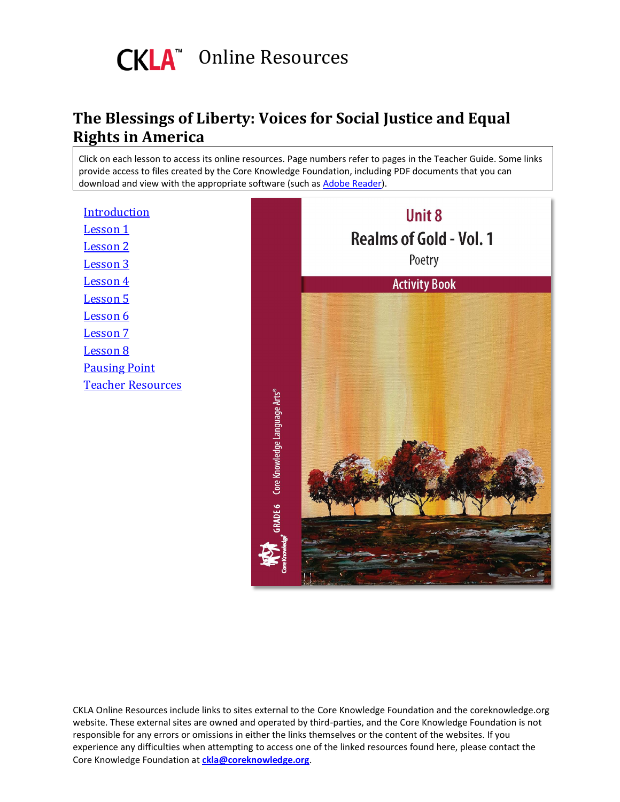

#### **The Blessings of Liberty: Voices for Social Justice and Equal Rights in America**

<span id="page-0-0"></span>Click on each lesson to access its online resources. Page numbers refer to pages in the Teacher Guide. Some links provide access to files created by the Core Knowledge Foundation, including PDF documents that you can download and view with the appropriate software (such as [Adobe Reader\)](http://get.adobe.com/reader).

[Introduction](#page-1-0) [Lesson](#page-3-0) 1 [Lesson](#page-4-0) 2 [Lesson](#page-5-0) 3 [Lesson](#page-6-0) 4 [Lesson](#page-7-0) 5 [Lesson](#page-8-0) 6 [Lesson](#page-9-0) 7 [Lesson](#page-10-0) 8 [Pausing Point](#page-11-0) [Teacher Resources](#page-12-0)

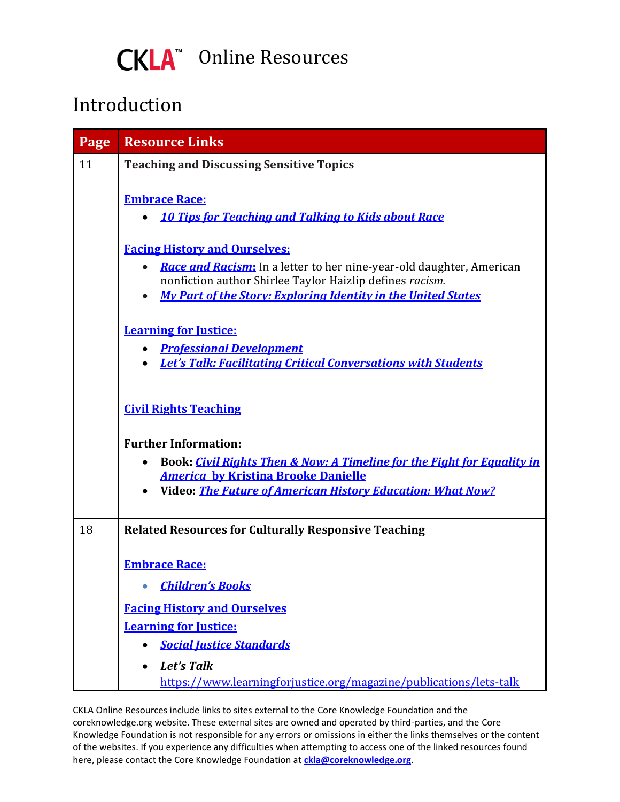

### <span id="page-1-0"></span>Introduction

| Page | <b>Resource Links</b>                                                                                                                                                                                                 |
|------|-----------------------------------------------------------------------------------------------------------------------------------------------------------------------------------------------------------------------|
| 11   | <b>Teaching and Discussing Sensitive Topics</b>                                                                                                                                                                       |
|      | <b>Embrace Race:</b><br><b>10 Tips for Teaching and Talking to Kids about Race</b><br>$\bullet$                                                                                                                       |
|      | <b>Facing History and Ourselves:</b>                                                                                                                                                                                  |
|      | Race and Racism: In a letter to her nine-year-old daughter, American<br>$\bullet$<br>nonfiction author Shirlee Taylor Haizlip defines racism.<br><b>My Part of the Story: Exploring Identity in the United States</b> |
|      | <b>Learning for Justice:</b>                                                                                                                                                                                          |
|      | <b>Professional Development</b>                                                                                                                                                                                       |
|      | <b>Let's Talk: Facilitating Critical Conversations with Students</b><br>$\bullet$                                                                                                                                     |
|      | <b>Civil Rights Teaching</b><br><b>Further Information:</b><br>Book: Civil Rights Then & Now: A Timeline for the Fight for Equality in<br>$\bullet$<br><b>America by Kristina Brooke Danielle</b>                     |
|      | <b>Video: The Future of American History Education: What Now?</b>                                                                                                                                                     |
|      |                                                                                                                                                                                                                       |
| 18   | <b>Related Resources for Culturally Responsive Teaching</b>                                                                                                                                                           |
|      | <b>Embrace Race:</b><br><b>Children's Books</b>                                                                                                                                                                       |
|      | <b>Facing History and Ourselves</b>                                                                                                                                                                                   |
|      | <b>Learning for Justice:</b>                                                                                                                                                                                          |
|      | <b>Social Justice Standards</b>                                                                                                                                                                                       |
|      | Let's Talk<br>https://www.learningforjustice.org/magazine/publications/lets-talk                                                                                                                                      |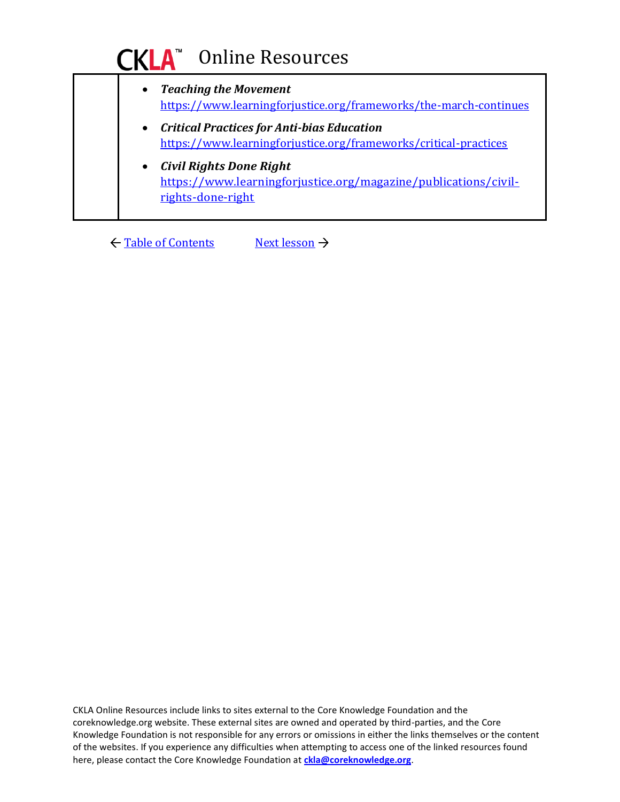### **CKLA**<sup>®</sup> Online Resources

| $\bullet$ | <b>Teaching the Movement</b><br>https://www.learningforjustice.org/frameworks/the-march-continues                      |
|-----------|------------------------------------------------------------------------------------------------------------------------|
| $\bullet$ | <b>Critical Practices for Anti-bias Education</b><br>https://www.learningforjustice.org/frameworks/critical-practices  |
| $\bullet$ | <b>Civil Rights Done Right</b><br>https://www.learningforjustice.org/magazine/publications/civil-<br>rights-done-right |

← [Table of Contents](#page-0-0) [Next lesson](#page-3-0) →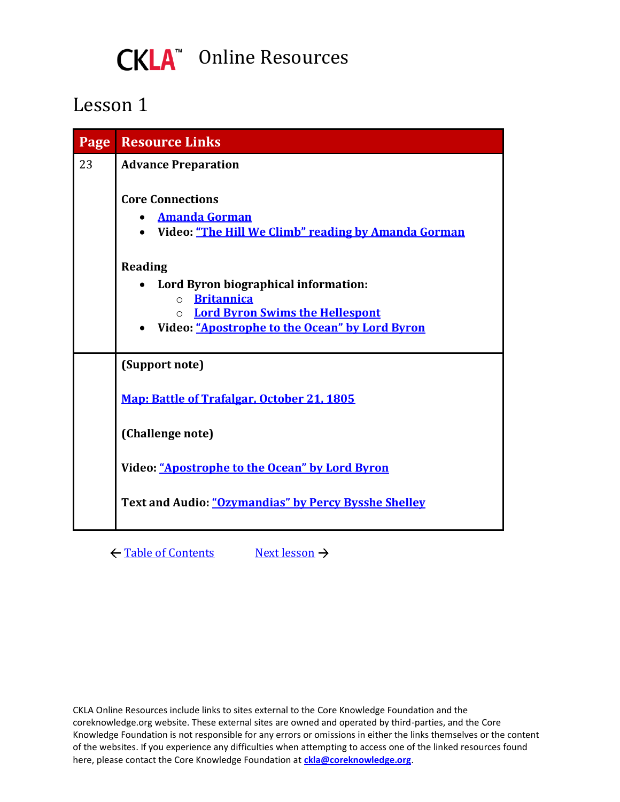### CKLA<sup>™</sup> Online Resources

### <span id="page-3-0"></span>Lesson 1

| Page | <b>Resource Links</b>                                                                                               |
|------|---------------------------------------------------------------------------------------------------------------------|
| 23   | <b>Advance Preparation</b>                                                                                          |
|      | <b>Core Connections</b><br><b>Amanda Gorman</b><br>$\bullet$<br>Video: "The Hill We Climb" reading by Amanda Gorman |
|      | Reading                                                                                                             |
|      | Lord Byron biographical information:                                                                                |
|      | o <b>Britannica</b><br><b>Lord Byron Swims the Hellespont</b><br>$\Omega$                                           |
|      | • Video: "Apostrophe to the Ocean" by Lord Byron                                                                    |
|      | (Support note)                                                                                                      |
|      | Map: Battle of Trafalgar, October 21, 1805                                                                          |
|      | (Challenge note)                                                                                                    |
|      | Video: "Apostrophe to the Ocean" by Lord Byron                                                                      |
|      | Text and Audio: "Ozymandias" by Percy Bysshe Shelley                                                                |
|      |                                                                                                                     |

← [Table of Contents](#page-0-0) [Next lesson](#page-4-0) →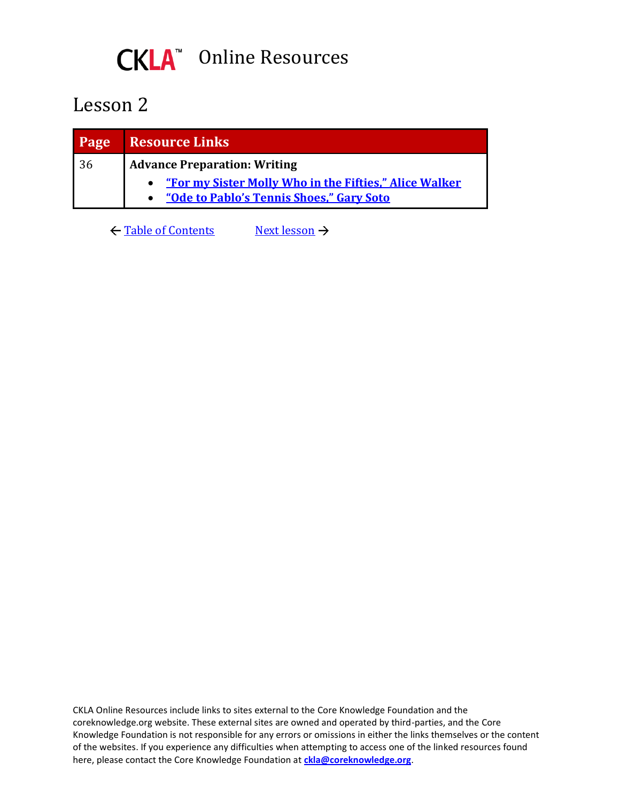

<span id="page-4-0"></span>

| <b>Page</b> | Resource Links                                           |
|-------------|----------------------------------------------------------|
| 36          | <b>Advance Preparation: Writing</b>                      |
|             | • "For my Sister Molly Who in the Fifties," Alice Walker |
|             | "Ode to Pablo's Tennis Shoes," Gary Soto                 |

← [Table of Contents](#page-0-0) [Next lesson](#page-5-0) →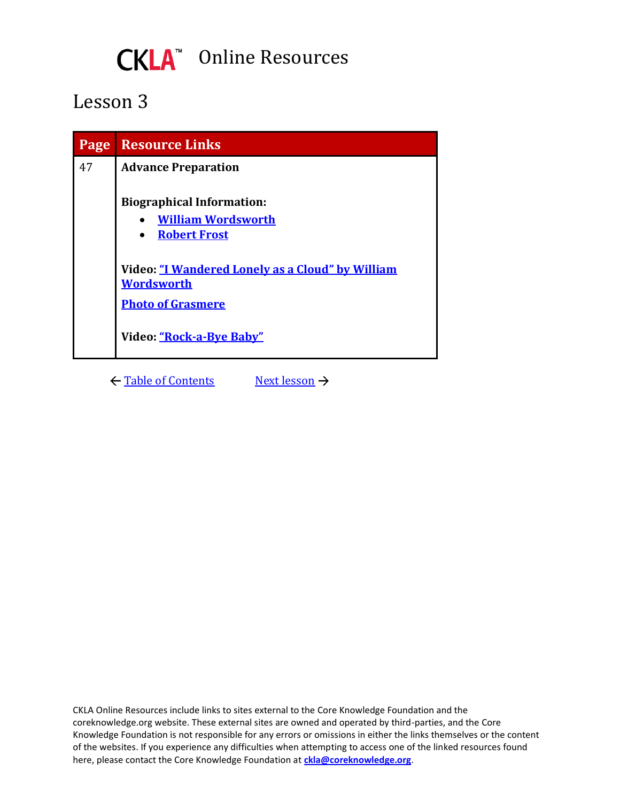

<span id="page-5-0"></span>

| Page | <b>Resource Links</b>                                                                |
|------|--------------------------------------------------------------------------------------|
| 47   | <b>Advance Preparation</b>                                                           |
|      | <b>Biographical Information:</b><br><b>William Wordsworth</b><br><b>Robert Frost</b> |
|      | Video: "I Wandered Lonely as a Cloud" by William<br><b>Wordsworth</b>                |
|      | <b>Photo of Grasmere</b>                                                             |
|      | Video: "Rock-a-Bye Baby"                                                             |

← [Table of Contents](#page-0-0) [Next lesson](#page-6-0) →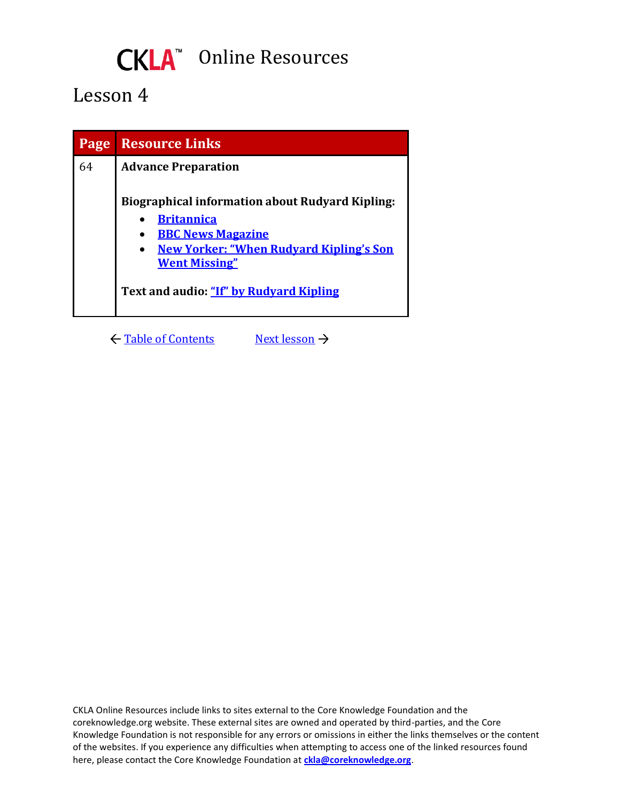# CKLA<sup>™</sup> Online Resources

### <span id="page-6-0"></span>Lesson 4

| Page | <b>Resource Links</b>                                                                                                                                                                                                        |
|------|------------------------------------------------------------------------------------------------------------------------------------------------------------------------------------------------------------------------------|
| 64   | <b>Advance Preparation</b>                                                                                                                                                                                                   |
|      | <b>Biographical information about Rudyard Kipling:</b><br><b>Britannica</b><br><b>BBC News Magazine</b><br><b>New Yorker: "When Rudyard Kipling's Son</b><br><b>Went Missing"</b><br>Text and audio: "If" by Rudvard Kipling |

← [Table of Contents](#page-0-0) [Next lesson](#page-7-0) →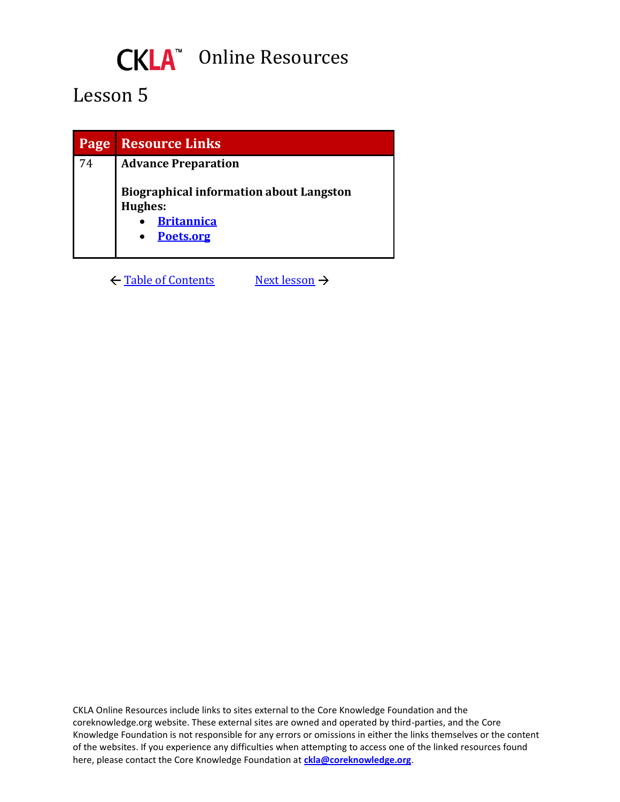## CKLA<sup>"</sup> Online Resources

### <span id="page-7-0"></span>Lesson 5

| Page | <b>Resource Links</b>                                                                              |
|------|----------------------------------------------------------------------------------------------------|
| 74   | <b>Advance Preparation</b>                                                                         |
|      | <b>Biographical information about Langston</b><br><b>Hughes:</b><br><b>Britannica</b><br>Poets.org |

← [Table of Contents](#page-0-0) [Next lesson](#page-8-0) →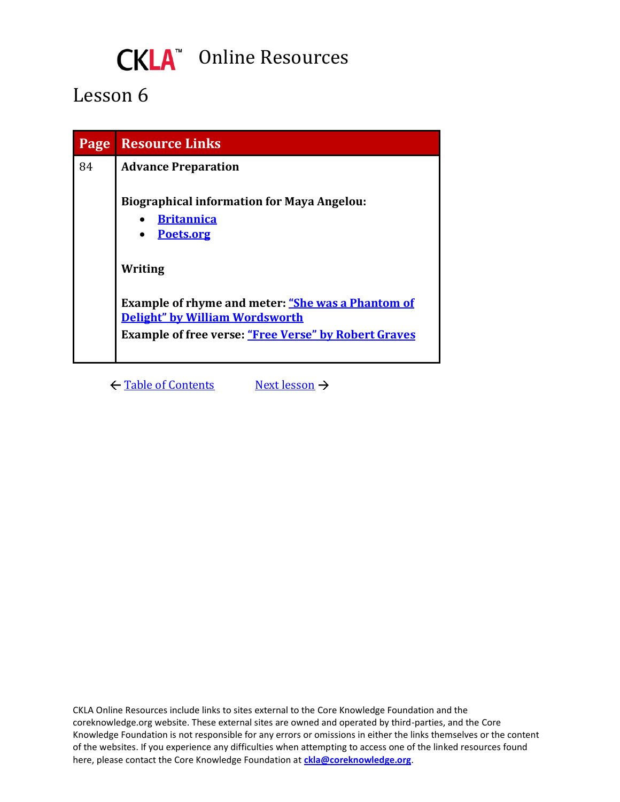## CKLA<sup>"</sup> Online Resources

### <span id="page-8-0"></span>Lesson 6

| Page | <b>Resource Links</b>                                                                      |
|------|--------------------------------------------------------------------------------------------|
| 84   | <b>Advance Preparation</b>                                                                 |
|      | <b>Biographical information for Maya Angelou:</b><br><b>Britannica</b><br>Poets.org        |
|      | Writing                                                                                    |
|      | <b>Example of rhyme and meter: "She was a Phantom of</b><br>Delight" by William Wordsworth |
|      | <b>Example of free verse: "Free Verse" by Robert Graves</b>                                |
|      |                                                                                            |

← [Table of Contents](#page-0-0) [Next lesson](#page-9-0) →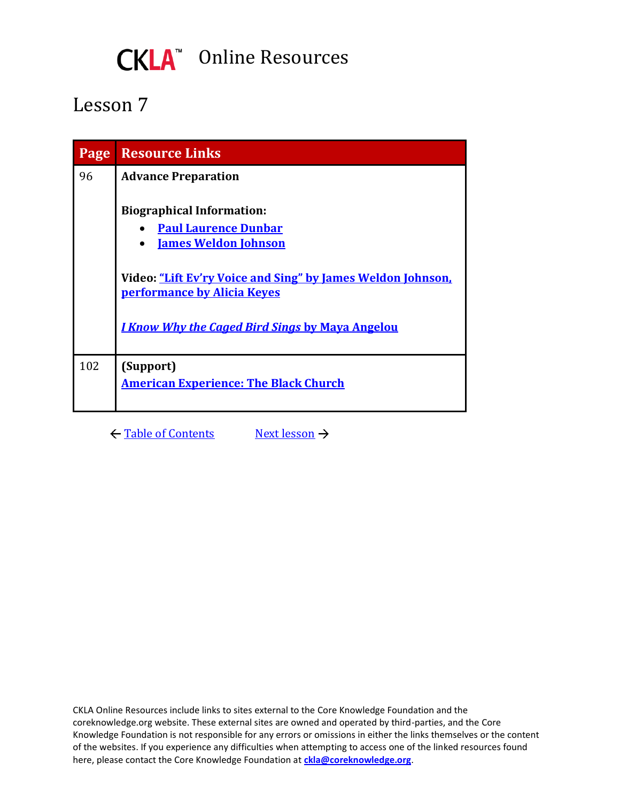

<span id="page-9-0"></span>

| Page | <b>Resource Links</b>                                                                      |
|------|--------------------------------------------------------------------------------------------|
| 96   | <b>Advance Preparation</b>                                                                 |
|      | <b>Biographical Information:</b>                                                           |
|      | <b>Paul Laurence Dunbar</b>                                                                |
|      | <b>James Weldon Johnson</b>                                                                |
|      | Video: "Lift Ev'ry Voice and Sing" by James Weldon Johnson,<br>performance by Alicia Keyes |
|      | <u>I Know Why the Caged Bird Sings by Maya Angelou</u>                                     |
| 102  | (Support)                                                                                  |
|      | <b>American Experience: The Black Church</b>                                               |

← [Table of Contents](#page-0-0) [Next lesson](#page-10-0) →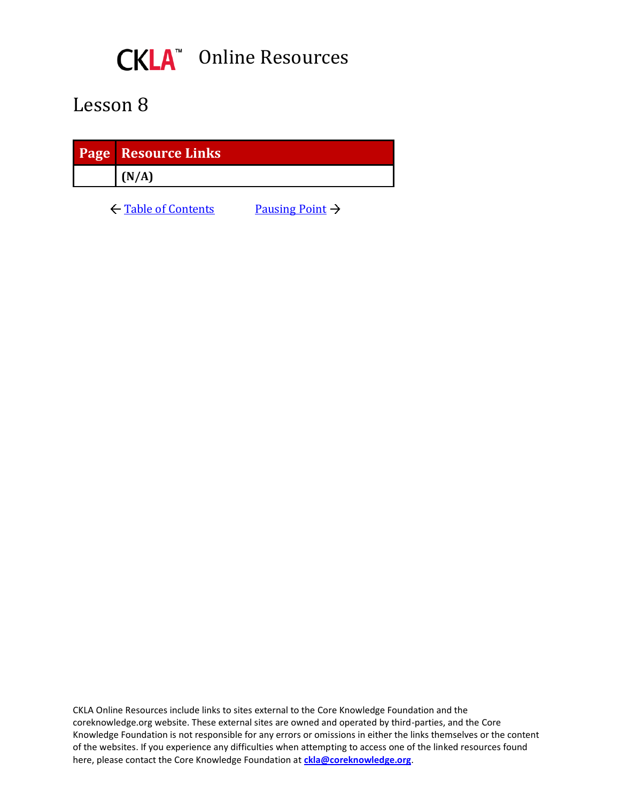

<span id="page-10-0"></span>

| <b>Page Resource Links</b> |
|----------------------------|
| (N/A)                      |

 $\leftarrow$  [Table of Contents](#page-0-0) [Pausing Point](#page-11-0)  $\rightarrow$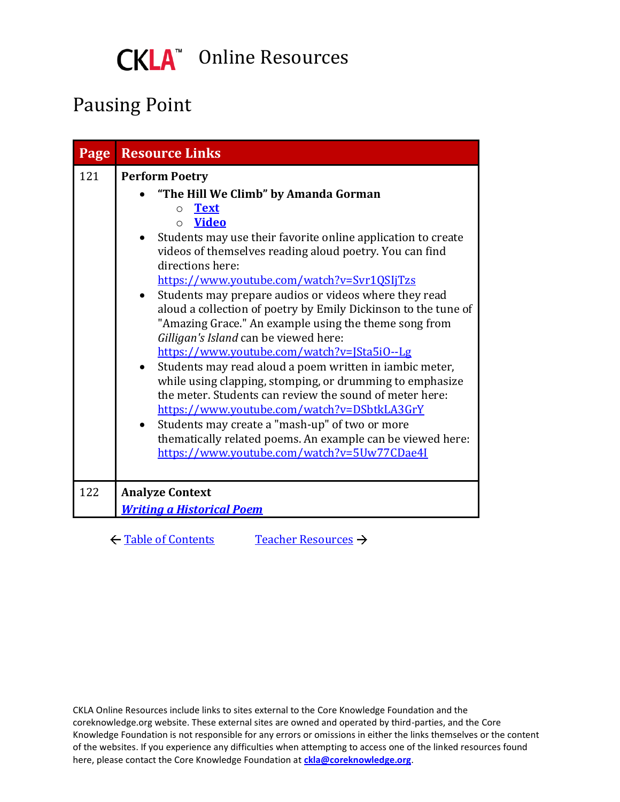

### <span id="page-11-0"></span>Pausing Point

| Page | <b>Resource Links</b>                                                                                                                                                                                                                                                                                                                                                                                                                                                                                                                                                                                                                                                                                                                                                                                                                                                                                                                                                                                       |
|------|-------------------------------------------------------------------------------------------------------------------------------------------------------------------------------------------------------------------------------------------------------------------------------------------------------------------------------------------------------------------------------------------------------------------------------------------------------------------------------------------------------------------------------------------------------------------------------------------------------------------------------------------------------------------------------------------------------------------------------------------------------------------------------------------------------------------------------------------------------------------------------------------------------------------------------------------------------------------------------------------------------------|
| 121  | <b>Perform Poetry</b><br>"The Hill We Climb" by Amanda Gorman<br><b>Text</b><br>$\circ$<br><b>Video</b><br>$\bigcap$<br>Students may use their favorite online application to create<br>videos of themselves reading aloud poetry. You can find<br>directions here:<br>https://www.youtube.com/watch?v=Svr1QSIjTzs<br>Students may prepare audios or videos where they read<br>$\bullet$<br>aloud a collection of poetry by Emily Dickinson to the tune of<br>"Amazing Grace." An example using the theme song from<br>Gilligan's Island can be viewed here:<br>https://www.youtube.com/watch?v=JSta5i0--Lg<br>Students may read aloud a poem written in iambic meter,<br>while using clapping, stomping, or drumming to emphasize<br>the meter. Students can review the sound of meter here:<br>https://www.youtube.com/watch?v=DSbtkLA3GrY<br>Students may create a "mash-up" of two or more<br>thematically related poems. An example can be viewed here:<br>https://www.youtube.com/watch?v=5Uw77CDae4I |
| 122  | <b>Analyze Context</b><br><b>Writing a Historical Poem</b>                                                                                                                                                                                                                                                                                                                                                                                                                                                                                                                                                                                                                                                                                                                                                                                                                                                                                                                                                  |

← [Table of Contents](#page-0-0) [Teacher Resources](#page-12-0) →